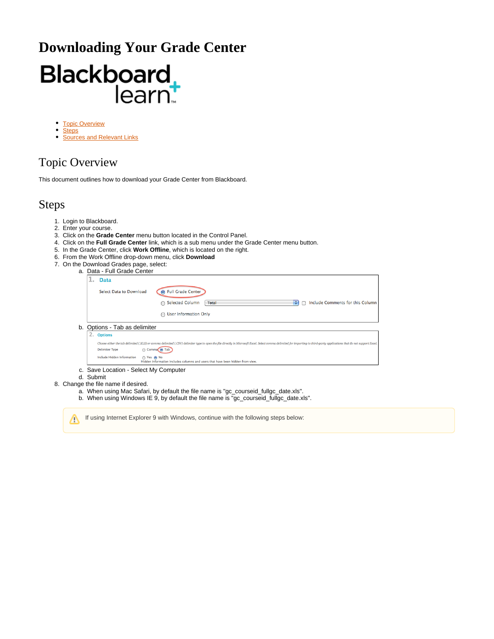## **Downloading Your Grade Center**

# Blackboard

- $\bullet$ **[Topic Overview](#page-0-0)**
- **[Steps](#page-0-1)**
- $\bullet$ [Sources and Relevant Links](#page-1-0)

### <span id="page-0-0"></span>Topic Overview

This document outlines how to download your Grade Center from Blackboard.

#### <span id="page-0-1"></span>Steps

- 1. Login to Blackboard.
- 2. Enter your course.
- 3. Click on the **Grade Center** menu button located in the Control Panel.
- 4. Click on the **Full Grade Center** link, which is a sub menu under the Grade Center menu button.
- 5. In the Grade Center, click **Work Offline**, which is located on the right.
- 6. From the Work Offline drop-down menu, click **Download**
- 7. On the Download Grades page, select:
	- a. Data - Full Grade Center

|                                                                                                                                                                                                                                                                  |    | a. Data - Full Grade Center                                                                                                |  |  |  |  |
|------------------------------------------------------------------------------------------------------------------------------------------------------------------------------------------------------------------------------------------------------------------|----|----------------------------------------------------------------------------------------------------------------------------|--|--|--|--|
|                                                                                                                                                                                                                                                                  |    | <b>Data</b><br>                                                                                                            |  |  |  |  |
|                                                                                                                                                                                                                                                                  |    | <b>Full Grade Center</b><br>Select Data to Download                                                                        |  |  |  |  |
|                                                                                                                                                                                                                                                                  |    | Include Comments for this Column<br><b>Selected Column</b><br>÷<br>Total                                                   |  |  |  |  |
|                                                                                                                                                                                                                                                                  |    | <b>User Information Only</b><br>∩                                                                                          |  |  |  |  |
|                                                                                                                                                                                                                                                                  | b. | Options - Tab as delimiter                                                                                                 |  |  |  |  |
|                                                                                                                                                                                                                                                                  |    | <b>2. Options</b>                                                                                                          |  |  |  |  |
| Choose either the tab delimited (XLS) or comma delimited (.CSV) delimiter type to open the file directly in Microsoft Excel. Select comma delimited for importing to third-party applications that do not support Excel.<br><b>Delimiter Type</b><br>Comma n Tab |    |                                                                                                                            |  |  |  |  |
|                                                                                                                                                                                                                                                                  |    | Include Hidden Information<br>∩ Yes ∩ No<br>Hidden information includes columns and users that have been hidden from view. |  |  |  |  |
|                                                                                                                                                                                                                                                                  |    | c. Save Location - Select My Computer<br>d. Submit                                                                         |  |  |  |  |
|                                                                                                                                                                                                                                                                  |    | 8. Change the file name if desired.                                                                                        |  |  |  |  |
| a. When using Mac Safari, by default the file name is "gc_courseid_fullgc_date.xls".                                                                                                                                                                             |    |                                                                                                                            |  |  |  |  |
|                                                                                                                                                                                                                                                                  |    | b. When using Windows IE 9, by default the file name is "gc_courseid_fullgc_date.xls".                                     |  |  |  |  |

If using Internet Explorer 9 with Windows, continue with the following steps below: Δ